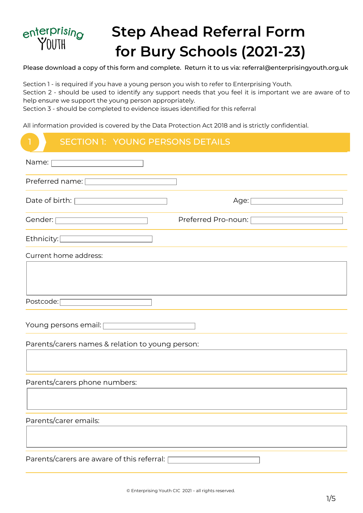# enterprising<br>Y011H **Step Ahead Referral Form for Bury Schools (2021-23)**

Please download a copy of this form and complete. Return it to us via: referral@enterprisingyouth.org.uk

Section 1 - is required if you have a young person you wish to refer to Enterprising Youth.

Section 2 - should be used to identify any support needs that you feel it is important we are aware of to help ensure we support the young person appropriately.

Section 3 - should be completed to evidence issues identified for this referral

All information provided is covered by the Data Protection Act 2018 and is strictly confidential.

| $\mathbf{I}$<br><b>SECTION 1: YOUNG PERSONS DETAILS</b>                                                                                                                                                                                                     |
|-------------------------------------------------------------------------------------------------------------------------------------------------------------------------------------------------------------------------------------------------------------|
| Name: <u>_________________________________</u>                                                                                                                                                                                                              |
| Preferred name:                                                                                                                                                                                                                                             |
| Date of birth: Value of the Sea of Section 1.1 and 2.1 and 2.1 and 2.1 and 2.1 and 2.1 and 2.1 and 2.1 and 2.1<br>Age:                                                                                                                                      |
| Gender: <u>Electronic Contract of The Contract of The Contract of The Contract of The Contract of The Contract of The Contract of The Contract of The Contract of The Contract of The Contract of The Contract of The Contract o</u><br>Preferred Pro-noun: |
| Ethnicity: <u>Ethnicity:</u>                                                                                                                                                                                                                                |
| Current home address:                                                                                                                                                                                                                                       |
|                                                                                                                                                                                                                                                             |
| Postcode:                                                                                                                                                                                                                                                   |
| Young persons email: volume                                                                                                                                                                                                                                 |
| Parents/carers names & relation to young person:                                                                                                                                                                                                            |
|                                                                                                                                                                                                                                                             |
| Parents/carers phone numbers:                                                                                                                                                                                                                               |
|                                                                                                                                                                                                                                                             |
| Parents/carer emails:                                                                                                                                                                                                                                       |
|                                                                                                                                                                                                                                                             |
| Parents/carers are aware of this referral:                                                                                                                                                                                                                  |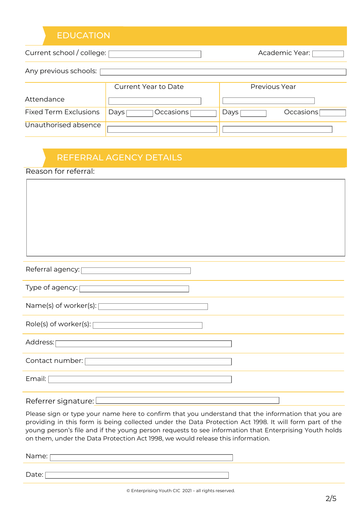#### EDUCATION

| Current school / college:    |                             | Academic Year:    |  |  |  |
|------------------------------|-----------------------------|-------------------|--|--|--|
| Any previous schools:        |                             |                   |  |  |  |
|                              | <b>Current Year to Date</b> | Previous Year     |  |  |  |
| Attendance                   |                             |                   |  |  |  |
| <b>Fixed Term Exclusions</b> | Occasions<br>DayS           | Occasions<br>Days |  |  |  |
| Unauthorised absence         |                             |                   |  |  |  |

## REFERRAL AGENCY DETAILS

Reason for referral:

| Referral agency:                                                                                                                                                                                               |  |  |  |
|----------------------------------------------------------------------------------------------------------------------------------------------------------------------------------------------------------------|--|--|--|
| Type of agency: $\sqrt{ }$                                                                                                                                                                                     |  |  |  |
| Name(s) of worker(s): [Change and the set of the set of the set of the set of the set of the set of the set of                                                                                                 |  |  |  |
| Role(s) of worker(s):                                                                                                                                                                                          |  |  |  |
| <u> 1989 - Johann Stein, marwolaethau a bhann an t-Amhain an t-Amhain an t-Amhain an t-Amhain an t-Amhain an t-A</u><br>Address:<br>the control of the control of the control of the control of the control of |  |  |  |
| Contact number: $\Box$                                                                                                                                                                                         |  |  |  |
| Email: $\lceil$                                                                                                                                                                                                |  |  |  |
| Referrer signature: $\Box$                                                                                                                                                                                     |  |  |  |
| Please sign or type your name here to confirm that you understand that the information that you are                                                                                                            |  |  |  |

Please sign or type your name here to confirm that you understand that the information that you are providing in this form is being collected under the Data Protection Act 1998. It will form part of the young person's file and if the young person requests to see information that Enterprising Youth holds on them, under the Data Protection Act 1998, we would release this information.

| Name: |  |
|-------|--|
| -     |  |
| Date: |  |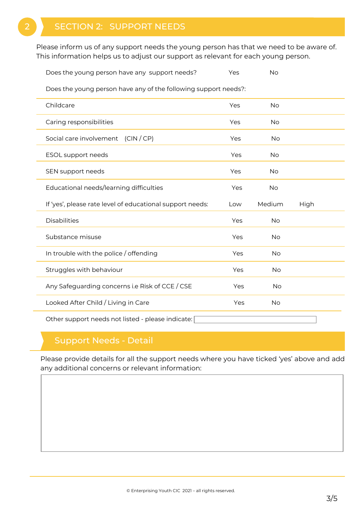#### SECTION 2: SUPPORT NEEDS

Please inform us of any support needs the young person has that we need to be aware of. This information helps us to adjust our support as relevant for each young person.

Does the young person have any support needs?  $Yes$   $\Box$  No $\Box$ 

Does the young person have any of the following support needs?:

| Childcare                                                 | Yes<br>$No \Box$                              |
|-----------------------------------------------------------|-----------------------------------------------|
| Caring responsibilities                                   | Yes  <br>$No \ \Box$                          |
| Social care involvement (CIN/CP)                          | Yes <br>No.                                   |
| ESOL support needs                                        | Yes $\Box$<br>No                              |
| SEN support needs                                         | Yes<br>No <sub>1</sub>                        |
| Educational needs/learning difficulties                   | $No \ \overline{\phantom{b}}$<br>Yes $\Gamma$ |
| If 'yes', please rate level of educational support needs: | Medium<br>$High \Box$<br>$Low \Box$           |
| <b>Disabilities</b>                                       | Yes $\Box$<br>No                              |
| Substance misuse                                          | Yes $\Box$<br>$No \ \top$                     |
| In trouble with the police / offending                    | Yes<br>No [                                   |
| Struggles with behaviour                                  | Yes $\Box$<br>No                              |
| Any Safeguarding concerns i.e Risk of CCE / CSE           | Yes  <br>No <sub>1</sub>                      |
| Looked After Child / Living in Care                       | Yes<br>No                                     |
| Other support needs not listed - please indicate:         |                                               |

## Support Needs - Detail

Please provide details for all the support needs where you have ticked 'yes' above and add any additional concerns or relevant information: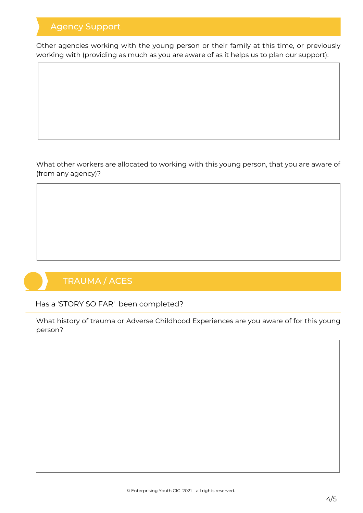## Agency Support

Other agencies working with the young person or their family at this time, or previously working with (providing as much as you are aware of as it helps us to plan our support):

What other workers are allocated to working with this young person, that you are aware of (from any agency)?

# TRAUMA / ACES

Has a 'STORY SO FAR' been completed?

What history of trauma or Adverse Childhood Experiences are you aware of for this young person?